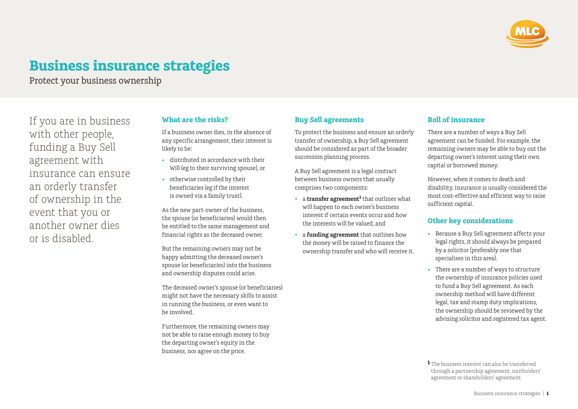

# **Business insurance strategies**

Protect your business ownership

If you are in business with other people, funding a Buy Sell agreement with insurance can ensure an orderly transfer of ownership in the event that you or another owner dies or is disabled.

### **What are the risks?**

If a business owner dies, in the absence of any specific arrangement, their interest is likely to be:

- distributed in accordance with their Will (eg to their surviving spouse), or
- otherwise controlled by their beneficiaries (eg if the interest is owned via a family trust).

As the new part-owner of the business, the spouse (or beneficiaries) would then be entitled to the same management and financial rights as the deceased owner.

But the remaining owners may not be happy admitting the deceased owner's spouse (or beneficiaries) into the business and ownership disputes could arise.

The deceased owner's spouse (or beneficiaries) might not have the necessary skills to assist in running the business, or even want to be involved.

Furthermore, the remaining owners may not be able to raise enough money to buy the departing owner's equity in the business, nor agree on the price.

# **Buy Sell agreements**

To protect the business and ensure an orderly transfer of ownership, a Buy Sell agreement should be considered as part of the broader succession planning process.

A Buy Sell agreement is a legal contract between business owners that usually comprises two components:

- a **transfer agreement<sup>1</sup>** that outlines what will happen to each owner's business interest if certain events occur and how the interests will be valued, and
- a **funding agreement** that outlines how the money will be raised to finance the ownership transfer and who will receive it.

#### **Roll of insurance**

There are a number of ways a Buy Sell agreement can be funded. For example, the remaining owners may be able to buy out the departing owner's interest using their own capital or borrowed money.

However, when it comes to death and disability, insurance is usually considered the most cost-effective and efficient way to raise sufficient capital.

#### **Other key considerations**

- Because a Buy Sell agreement affects your legal rights, it should always be prepared by a solicitor (preferably one that specialises in this area).
- There are a number of ways to structure the ownership of insurance policies used to fund a Buy Sell agreement. As each ownership method will have different legal, tax and stamp duty implications, the ownership should be reviewed by the advising solicitor and registered tax agent.

**<sup>1</sup>** The business interest can also be transferred through a partnership agreement, unitholders' agreement or shareholders' agreement.